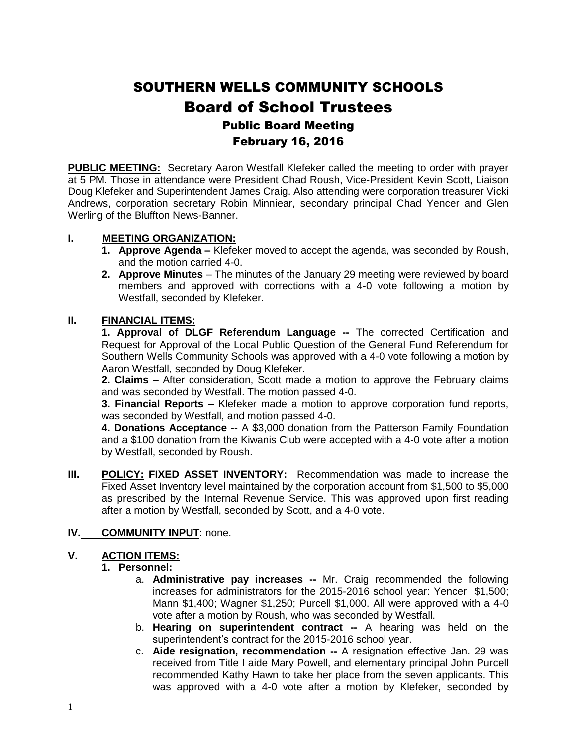# SOUTHERN WELLS COMMUNITY SCHOOLS Board of School Trustees Public Board Meeting February 16, 2016

**PUBLIC MEETING:** Secretary Aaron Westfall Klefeker called the meeting to order with prayer at 5 PM. Those in attendance were President Chad Roush, Vice-President Kevin Scott, Liaison Doug Klefeker and Superintendent James Craig. Also attending were corporation treasurer Vicki Andrews, corporation secretary Robin Minniear, secondary principal Chad Yencer and Glen Werling of the Bluffton News-Banner.

#### **I. MEETING ORGANIZATION:**

- **1. Approve Agenda –** Klefeker moved to accept the agenda, was seconded by Roush, and the motion carried 4-0.
- **2. Approve Minutes** The minutes of the January 29 meeting were reviewed by board members and approved with corrections with a 4-0 vote following a motion by Westfall, seconded by Klefeker.

## **II. FINANCIAL ITEMS:**

**1. Approval of DLGF Referendum Language --** The corrected Certification and Request for Approval of the Local Public Question of the General Fund Referendum for Southern Wells Community Schools was approved with a 4-0 vote following a motion by Aaron Westfall, seconded by Doug Klefeker.

**2. Claims** – After consideration, Scott made a motion to approve the February claims and was seconded by Westfall. The motion passed 4-0.

**3. Financial Reports** – Klefeker made a motion to approve corporation fund reports, was seconded by Westfall, and motion passed 4-0.

**4. Donations Acceptance --** A \$3,000 donation from the Patterson Family Foundation and a \$100 donation from the Kiwanis Club were accepted with a 4-0 vote after a motion by Westfall, seconded by Roush.

**III. POLICY: FIXED ASSET INVENTORY:** Recommendation was made to increase the Fixed Asset Inventory level maintained by the corporation account from \$1,500 to \$5,000 as prescribed by the Internal Revenue Service. This was approved upon first reading after a motion by Westfall, seconded by Scott, and a 4-0 vote.

## **IV. COMMUNITY INPUT**: none.

## **V. ACTION ITEMS:**

#### **1. Personnel:**

- a. **Administrative pay increases --** Mr. Craig recommended the following increases for administrators for the 2015-2016 school year: Yencer \$1,500; Mann \$1,400; Wagner \$1,250; Purcell \$1,000. All were approved with a 4-0 vote after a motion by Roush, who was seconded by Westfall.
- b. **Hearing on superintendent contract --** A hearing was held on the superintendent's contract for the 2015-2016 school year.
- c. **Aide resignation, recommendation --** A resignation effective Jan. 29 was received from Title I aide Mary Powell, and elementary principal John Purcell recommended Kathy Hawn to take her place from the seven applicants. This was approved with a 4-0 vote after a motion by Klefeker, seconded by